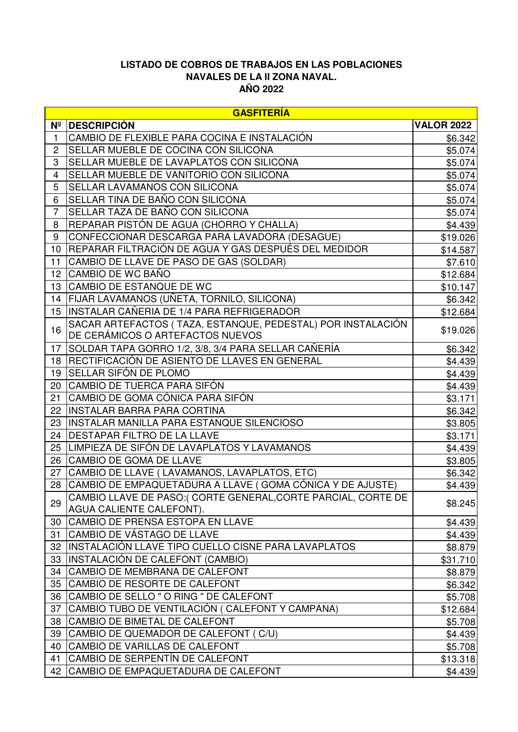## **LISTADO DE COBROS DE TRABAJOS EN LAS POBLACIONES NAVALES DE LA II ZONA NAVAL. AÑO 2022**

|                | <b>GASFITERÍA</b>                                             |                   |  |
|----------------|---------------------------------------------------------------|-------------------|--|
| $N^2$          | <b>DESCRIPCIÓN</b>                                            | <b>VALOR 2022</b> |  |
| 1              | CAMBIO DE FLEXIBLE PARA COCINA E INSTALACIÓN                  | \$6.342           |  |
| 2              | SELLAR MUEBLE DE COCINA CON SILICONA                          | \$5.074           |  |
| 3              | SELLAR MUEBLE DE LAVAPLATOS CON SILICONA                      | \$5.074           |  |
| 4              | SELLAR MUEBLE DE VANITORIO CON SILICONA                       | \$5.074]          |  |
| 5              | SELLAR LAVAMANOS CON SILICONA                                 | \$5.074           |  |
| 6              | SELLAR TINA DE BAÑO CON SILICONA                              | \$5.074           |  |
| $\overline{7}$ | SELLAR TAZA DE BAÑO CON SILICONA                              | \$5.074           |  |
| 8              | REPARAR PISTÓN DE AGUA (CHORRO Y CHALLA)                      | \$4.439           |  |
| 9              | CONFECCIONAR DESCARGA PARA LAVADORA (DESAGUE)                 | \$19.026          |  |
| 10             | REPARAR FILTRACIÓN DE AGUA Y GAS DESPUÉS DEL MEDIDOR          | \$14.587          |  |
| 11             | CAMBIO DE LLAVE DE PASO DE GAS (SOLDAR)                       | \$7.610           |  |
| 12             | CAMBIO DE WC BAÑO                                             | \$12.684          |  |
| 13             | CAMBIO DE ESTANQUE DE WC                                      | \$10.147          |  |
| 14             | FIJAR LAVAMANOS (UÑETA, TORNILO, SILICONA)                    | \$6.342           |  |
|                | 15 IINSTALAR CAÑERIA DE 1/4 PARA REFRIGERADOR                 | \$12.684          |  |
| 16             | SACAR ARTEFACTOS (TAZA, ESTANQUE, PEDESTAL) POR INSTALACIÓN   | \$19.026          |  |
|                | DE CERÁMICOS O ARTEFACTOS NUEVOS                              |                   |  |
| 17             | SOLDAR TAPA GORRO 1/2, 3/8, 3/4 PARA SELLAR CAÑERÍA           | \$6.342           |  |
| 18             | RECTIFICACIÓN DE ASIENTO DE LLAVES EN GENERAL                 | \$4.439           |  |
| 19             | SELLAR SIFÓN DE PLOMO                                         | \$4.439           |  |
| 20             | CAMBIO DE TUERCA PARA SIFÓN                                   | \$4.439           |  |
| 21             | CAMBIO DE GOMA CÓNICA PARA SIFÓN                              | \$3.171           |  |
| 22             | INSTALAR BARRA PARA CORTINA                                   | \$6.342           |  |
| 23             | INSTALAR MANILLA PARA ESTANQUE SILENCIOSO                     | \$3.805           |  |
| 24             | <b>IDESTAPAR FILTRO DE LA LLAVE</b>                           | \$3.171           |  |
| 25             | LIMPIEZA DE SIFÓN DE LAVAPLATOS Y LAVAMANOS                   | \$4.439           |  |
| 26             | <b>CAMBIO DE GOMA DE LLAVE</b>                                | \$3.805           |  |
| 27             | CAMBIO DE LLAVE (LAVAMANOS, LAVAPLATOS, ETC)                  | \$6.342           |  |
| 28             | CAMBIO DE EMPAQUETADURA A LLAVE (GOMA CÓNICA Y DE AJUSTE)     | \$4.439           |  |
| 29             | CAMBIO LLAVE DE PASO: (CORTE GENERAL, CORTE PARCIAL, CORTE DE | \$8.245           |  |
|                | AGUA CALIENTE CALEFONT).                                      |                   |  |
| 30             | CAMBIO DE PRENSA ESTOPA EN LLAVE                              | \$4.439           |  |
| 31             | <b>CAMBIO DE VÁSTAGO DE LLAVE</b>                             | \$4.439           |  |
| 32             | INSTALACIÓN LLAVE TIPO CUELLO CISNE PARA LAVAPLATOS           | \$8.879           |  |
| 33             | INSTALACIÓN DE CALEFONT (CAMBIO)                              | \$31.710          |  |
| 34             | CAMBIO DE MEMBRANA DE CALEFONT                                | \$8.879           |  |
| 35             | CAMBIO DE RESORTE DE CALEFONT                                 | \$6.342           |  |
| 36             | CAMBIO DE SELLO " O RING " DE CALEFONT                        | \$5.708           |  |
| 37             | CAMBIO TUBO DE VENTILACIÓN ( CALEFONT Y CAMPANA)              | \$12.684          |  |
| 38             | CAMBIO DE BIMETAL DE CALEFONT                                 | \$5.708           |  |
| 39             | CAMBIO DE QUEMADOR DE CALEFONT (C/U)                          | \$4.439           |  |
| 40             | CAMBIO DE VARILLAS DE CALEFONT                                | \$5.708           |  |
| 41             | CAMBIO DE SERPENTÍN DE CALEFONT                               | \$13.318          |  |
|                | 42 CAMBIO DE EMPAQUETADURA DE CALEFONT                        | \$4.439           |  |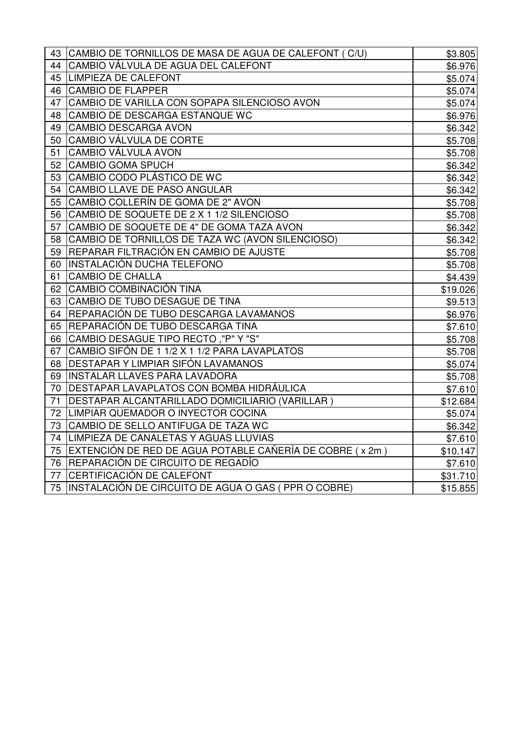| 43 | CAMBIO DE TORNILLOS DE MASA DE AGUA DE CALEFONT (C/U)      | \$3.805  |
|----|------------------------------------------------------------|----------|
| 44 | CAMBIO VÁLVULA DE AGUA DEL CALEFONT                        | \$6.976  |
| 45 | LIMPIEZA DE CALEFONT                                       | \$5.074  |
| 46 | <b>CAMBIO DE FLAPPER</b>                                   | \$5.074  |
| 47 | CAMBIO DE VARILLA CON SOPAPA SILENCIOSO AVON               | \$5.074  |
| 48 | CAMBIO DE DESCARGA ESTANQUE WC                             | \$6.976  |
| 49 | CAMBIO DESCARGA AVON                                       | \$6.342  |
| 50 | CAMBIO VÁLVULA DE CORTE                                    | \$5.708  |
| 51 | <b>CAMBIO VÁLVULA AVON</b>                                 | \$5.708  |
| 52 | <b>CAMBIO GOMA SPUCH</b>                                   | \$6.342  |
| 53 | CAMBIO CODO PLÁSTICO DE WC                                 | \$6.342  |
| 54 | CAMBIO LLAVE DE PASO ANGULAR                               | \$6.342  |
| 55 | CAMBIO COLLERÍN DE GOMA DE 2" AVON                         | \$5.708  |
| 56 | CAMBIO DE SOQUETE DE 2 X 1 1/2 SILENCIOSO                  | \$5.708  |
| 57 | CAMBIO DE SOQUETE DE 4" DE GOMA TAZA AVON                  | \$6.342  |
| 58 | CAMBIO DE TORNILLOS DE TAZA WC (AVON SILENCIOSO)           | \$6.342  |
| 59 | REPARAR FILTRACIÓN EN CAMBIO DE AJUSTE                     | \$5.708  |
| 60 | INSTALACIÓN DUCHA TELEFONO                                 | \$5.708  |
| 61 | <b>CAMBIO DE CHALLA</b>                                    | \$4.439  |
| 62 | CAMBIO COMBINACIÓN TINA                                    | \$19.026 |
| 63 | CAMBIO DE TUBO DESAGUE DE TINA                             | \$9.513  |
| 64 | REPARACIÓN DE TUBO DESCARGA LAVAMANOS                      | \$6.976  |
| 65 | REPARACIÓN DE TUBO DESCARGA TINA                           | \$7.610  |
| 66 | CAMBIO DESAGUE TIPO RECTO ,"P" Y "S"                       | \$5.708  |
| 67 | CAMBIO SIFÓN DE 1 1/2 X 1 1/2 PARA LAVAPLATOS              | \$5.708  |
| 68 | DESTAPAR Y LIMPIAR SIFÓN LAVAMANOS                         | \$5.074  |
| 69 | <b>INSTALAR LLAVES PARA LAVADORA</b>                       | \$5.708  |
| 70 | DESTAPAR LAVAPLATOS CON BOMBA HIDRÁULICA                   | \$7.610  |
| 71 | DESTAPAR ALCANTARILLADO DOMICILIARIO (VARILLAR)            | \$12.684 |
| 72 | LIMPIAR QUEMADOR O INYECTOR COCINA                         | \$5.074  |
| 73 | CAMBIO DE SELLO ANTIFUGA DE TAZA WC                        | \$6.342  |
| 74 | LIMPIEZA DE CANALETAS Y AGUAS LLUVIAS                      | \$7.610  |
| 75 | EXTENCIÓN DE RED DE AGUA POTABLE CAÑERÍA DE COBRE ( x 2m ) | \$10.147 |
| 76 | REPARACIÓN DE CIRCUITO DE REGADÍO                          | \$7.610  |
| 77 | CERTIFICACIÓN DE CALEFONT                                  | \$31.710 |
|    | 75 INSTALACIÓN DE CIRCUITO DE AGUA O GAS (PPR O COBRE)     | \$15.855 |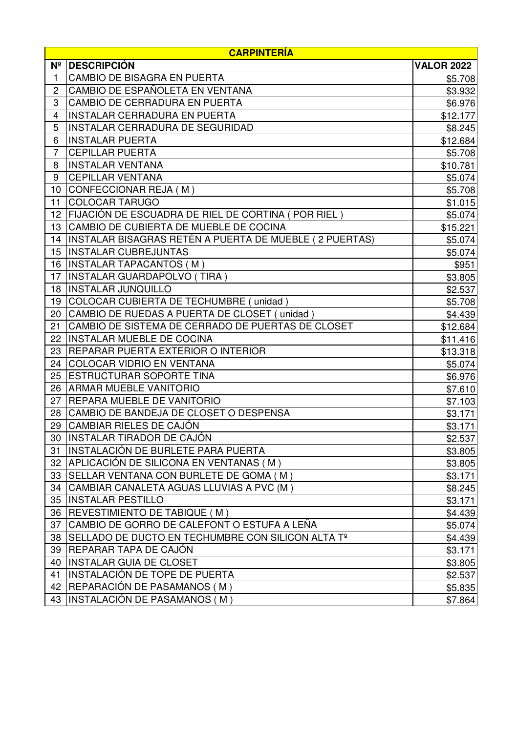|                | <b>CARPINTERÍA</b>                                     |                   |  |
|----------------|--------------------------------------------------------|-------------------|--|
| N <sup>°</sup> | <b>DESCRIPCIÓN</b>                                     | <b>VALOR 2022</b> |  |
| 1              | <b>CAMBIO DE BISAGRA EN PUERTA</b>                     | \$5.708           |  |
| 2              | CAMBIO DE ESPAÑOLETA EN VENTANA                        | \$3.932           |  |
| 3              | CAMBIO DE CERRADURA EN PUERTA                          | \$6.976           |  |
| 4              | <b>INSTALAR CERRADURA EN PUERTA</b>                    | \$12.177          |  |
| 5              | INSTALAR CERRADURA DE SEGURIDAD                        | \$8.245           |  |
| 6              | INSTALAR PUERTA                                        | \$12.684          |  |
| 7              | <b>CEPILLAR PUERTA</b>                                 | \$5.708           |  |
| 8              | <b>INSTALAR VENTANA</b>                                | \$10.781          |  |
| 9              | <b>CEPILLAR VENTANA</b>                                | \$5.074           |  |
| 10             | CONFECCIONAR REJA (M)                                  | \$5.708           |  |
| 11             | <b>COLOCAR TARUGO</b>                                  | \$1.015           |  |
| 12             | FIJACIÓN DE ESCUADRA DE RIEL DE CORTINA ( POR RIEL )   | \$5.074           |  |
| 13             | CAMBIO DE CUBIERTA DE MUEBLE DE COCINA                 | \$15.221          |  |
| 14             | INSTALAR BISAGRAS RETÉN A PUERTA DE MUEBLE (2 PUERTAS) | \$5.074           |  |
| 15             | <b>INSTALAR CUBREJUNTAS</b>                            | \$5.074           |  |
| 16             | <b>INSTALAR TAPACANTOS (M)</b>                         | \$951             |  |
| 17             | INSTALAR GUARDAPOLVO (TIRA )                           | \$3.805           |  |
| 18             | <b>IINSTALAR JUNQUILLO</b>                             | \$2.537           |  |
| 19             | COLOCAR CUBIERTA DE TECHUMBRE (unidad)                 | \$5.708           |  |
| 20             | CAMBIO DE RUEDAS A PUERTA DE CLOSET (unidad)           | \$4.439           |  |
| 21             | CAMBIO DE SISTEMA DE CERRADO DE PUERTAS DE CLOSET      | \$12.684          |  |
| 22             | INSTALAR MUEBLE DE COCINA                              | \$11.416          |  |
| 23             | REPARAR PUERTA EXTERIOR O INTERIOR                     | \$13.318          |  |
| 24             | <b>COLOCAR VIDRIO EN VENTANA</b>                       | \$5.074           |  |
| 25             | <b>IESTRUCTURAR SOPORTE TINA</b>                       | \$6.976           |  |
| 26             | <b>ARMAR MUEBLE VANITORIO</b>                          | \$7.610           |  |
| 27             | <b>IREPARA MUEBLE DE VANITORIO</b>                     | \$7.103           |  |
| 28             | CAMBIO DE BANDEJA DE CLOSET O DESPENSA                 | \$3.171           |  |
| 29             | CAMBIAR RIELES DE CAJÓN                                | \$3.171           |  |
|                | 30 INSTALAR TIRADOR DE CAJÓN                           | \$2.537           |  |
| 31             | INSTALACIÓN DE BURLETE PARA PUERTA                     | \$3.805           |  |
|                | 32 APLICACIÓN DE SILICONA EN VENTANAS (M)              | \$3.805           |  |
| 33             | SELLAR VENTANA CON BURLETE DE GOMA (M)                 | \$3.171           |  |
|                | 34 CAMBIAR CANALETA AGUAS LLUVIAS A PVC (M)            | \$8.245           |  |
| 35             | <b>INSTALAR PESTILLO</b>                               | \$3.171           |  |
| 36             | <b>IREVESTIMIENTO DE TABIQUE (M)</b>                   | \$4.439           |  |
| 37             | CAMBIO DE GORRO DE CALEFONT O ESTUFA A LEÑA            | \$5.074           |  |
| 38             | SELLADO DE DUCTO EN TECHUMBRE CON SILICON ALTA Tº      | \$4.439           |  |
| 39             | REPARAR TAPA DE CAJÓN                                  | \$3.171           |  |
| 40             | <b>INSTALAR GUIA DE CLOSET</b>                         | \$3.805           |  |
| 41             | IINSTALACIÓN DE TOPE DE PUERTA                         | \$2.537           |  |
| 42             | REPARACIÓN DE PASAMANOS ( M )                          | \$5.835           |  |
| 43             | INSTALACIÓN DE PASAMANOS (M)                           | \$7.864           |  |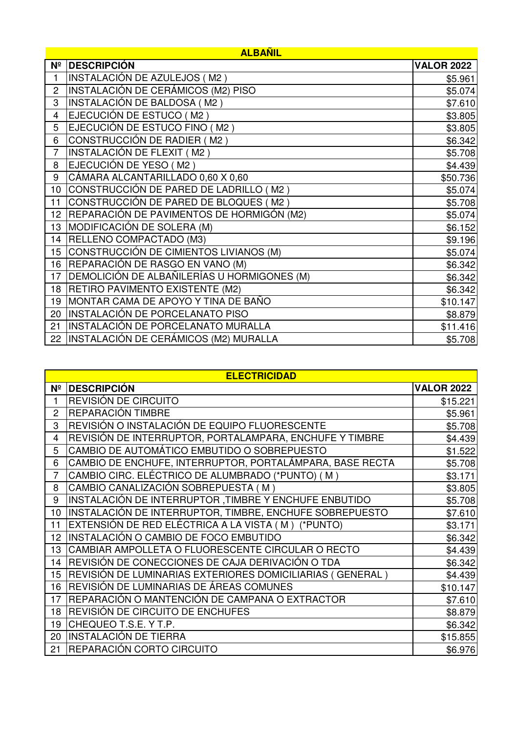|                | <b>ALBAÑIL</b>                              |                   |  |
|----------------|---------------------------------------------|-------------------|--|
| N <sup>o</sup> | <b>DESCRIPCIÓN</b>                          | <b>VALOR 2022</b> |  |
| 1              | INSTALACIÓN DE AZULEJOS (M2)                | \$5.961           |  |
| $\overline{2}$ | INSTALACIÓN DE CERÁMICOS (M2) PISO          | \$5.074           |  |
| 3              | INSTALACIÓN DE BALDOSA (M2)                 | \$7.610           |  |
| 4              | EJECUCIÓN DE ESTUCO (M2)                    | \$3.805           |  |
| 5              | EJECUCIÓN DE ESTUCO FINO (M2)               | \$3.805           |  |
| 6              | <b>CONSTRUCCIÓN DE RADIER (M2)</b>          | \$6.342           |  |
| $\overline{7}$ | INSTALACIÓN DE FLEXIT (M2)                  | \$5.708           |  |
| 8              | EJECUCIÓN DE YESO (M2)                      | \$4.439           |  |
| 9              | CÁMARA ALCANTARILLADO 0,60 X 0,60           | \$50.736          |  |
| 10             | CONSTRUCCIÓN DE PARED DE LADRILLO (M2)      | \$5.074           |  |
| 11             | CONSTRUCCIÓN DE PARED DE BLOQUES (M2)       | \$5.708           |  |
| 12             | REPARACIÓN DE PAVIMENTOS DE HORMIGÓN (M2)   | \$5.074           |  |
| 13             | MODIFICACIÓN DE SOLERA (M)                  | \$6.152           |  |
| 14             | RELLENO COMPACTADO (M3)                     | \$9.196           |  |
| 15             | CONSTRUCCIÓN DE CIMIENTOS LIVIANOS (M)      | \$5.074           |  |
| 16             | REPARACIÓN DE RASGO EN VANO (M)             | \$6.342           |  |
| 17             | DEMOLICIÓN DE ALBAÑILERÍAS U HORMIGONES (M) | \$6.342           |  |
| 18             | <b>RETIRO PAVIMENTO EXISTENTE (M2)</b>      | \$6.342           |  |
| 19             | MONTAR CAMA DE APOYO Y TINA DE BAÑO         | \$10.147          |  |
| 20             | INSTALACIÓN DE PORCELANATO PISO             | \$8.879           |  |
| 21             | INSTALACIÓN DE PORCELANATO MURALLA          | \$11.416          |  |
| 22             | INSTALACIÓN DE CERÁMICOS (M2) MURALLA       | \$5.708           |  |

|                | <b>ELECTRICIDAD</b>                                       |                   |  |
|----------------|-----------------------------------------------------------|-------------------|--|
| N <sup>2</sup> | <b>DESCRIPCIÓN</b>                                        | <b>VALOR 2022</b> |  |
| 1              | REVISIÓN DE CIRCUITO                                      | \$15.221          |  |
| $\overline{c}$ | REPARACIÓN TIMBRE                                         | \$5.961           |  |
| 3              | REVISIÓN O INSTALACIÓN DE EQUIPO FLUORESCENTE             | \$5.708           |  |
| 4              | REVISIÓN DE INTERRUPTOR, PORTALAMPARA, ENCHUFE Y TIMBRE   | \$4.439           |  |
| 5              | CAMBIO DE AUTOMÁTICO EMBUTIDO O SOBREPUESTO               | \$1.522           |  |
| 6              | CAMBIO DE ENCHUFE, INTERRUPTOR, PORTALÁMPARA, BASE RECTA  | \$5.708           |  |
| $\overline{7}$ | CAMBIO CIRC. ELÉCTRICO DE ALUMBRADO (*PUNTO) (M)          | \$3.171           |  |
| 8              | CAMBIO CANALIZACIÓN SOBREPUESTA (M)                       | \$3.805           |  |
| 9              | INSTALACIÓN DE INTERRUPTOR ,TIMBRE Y ENCHUFE ENBUTIDO     | \$5.708           |  |
| 10             | INSTALACIÓN DE INTERRUPTOR, TIMBRE, ENCHUFE SOBREPUESTO   | \$7.610           |  |
| 11             | EXTENSIÓN DE RED ELÉCTRICA A LA VISTA (M) (*PUNTO)        | \$3.171           |  |
| 12             | INSTALACIÓN O CAMBIO DE FOCO EMBUTIDO                     | \$6.342           |  |
| 13             | CAMBIAR AMPOLLETA O FLUORESCENTE CIRCULAR O RECTO         | \$4.439           |  |
| 14             | REVISIÓN DE CONECCIONES DE CAJA DERIVACIÓN O TDA          | \$6.342           |  |
| 15             | REVISIÓN DE LUMINARIAS EXTERIORES DOMICILIARIAS (GENERAL) | \$4.439           |  |
| 16             | REVISIÓN DE LUMINARIAS DE ÁREAS COMUNES                   | \$10.147          |  |
| 17             | REPARACIÓN O MANTENCIÓN DE CAMPANA O EXTRACTOR            | \$7.610           |  |
| 18             | REVISIÓN DE CIRCUITO DE ENCHUFES                          | \$8.879           |  |
| 19             | CHEQUEO T.S.E. Y T.P.                                     | \$6.342           |  |
| 20             | INSTALACIÓN DE TIERRA                                     | \$15.855          |  |
| 21             | REPARACIÓN CORTO CIRCUITO                                 | \$6.976           |  |